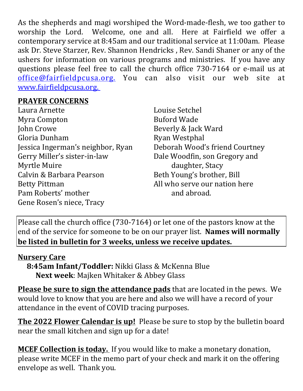As the shepherds and magi worshiped the Word-made-flesh, we too gather to worship the Lord. Welcome, one and all. Here at Fairfield we offer a contemporary service at 8:45am and our traditional service at 11:00am. Please ask Dr. Steve Starzer, Rev. Shannon Hendricks , Rev. Sandi Shaner or any of the ushers for information on various programs and ministries. If you have any questions please feel free to call the church office 730-7164 or e-mail us at office@fairfieldpcusa.org. You can also visit our web site at www.fairfieldpcusa.org.

## **PRAYER CONCERNS**

Laura Arnette Myra Compton John Crowe Gloria Dunham Jessica Ingerman's neighbor, Ryan Gerry Miller's sister-in-law Myrtle Muire Calvin & Barbara Pearson Betty Pittman Pam Roberts' mother Gene Rosen's niece, Tracy

Louise Setchel Buford Wade Beverly & Jack Ward Ryan Westphal Deborah Wood's friend Courtney Dale Woodfin, son Gregory and daughter, Stacy Beth Young's brother, Bill All who serve our nation here and abroad.

Please call the church office (730-7164) or let one of the pastors know at the end of the service for someone to be on our prayer list. **Names will normally be listed in bulletin for 3 weeks, unless we receive updates.**

## **Nursery Care**

**8:45am Infant/Toddler:** Nikki Glass & McKenna Blue **Next week**: Majken Whitaker & Abbey Glass

**Please be sure to sign the attendance pads** that are located in the pews. We would love to know that you are here and also we will have a record of your attendance in the event of COVID tracing purposes.

**The 2022 Flower Calendar is up!** Please be sure to stop by the bulletin board near the small kitchen and sign up for a date!

**MCEF Collection is today.** If you would like to make a monetary donation, please write MCEF in the memo part of your check and mark it on the offering envelope as well. Thank you.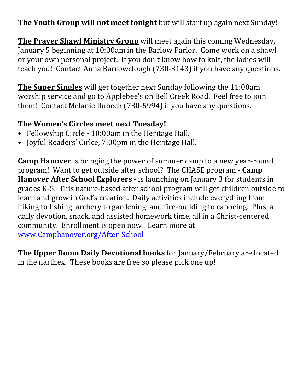**The Youth Group will not meet tonight** but will start up again next Sunday!

**The Prayer Shawl Ministry Group** will meet again this coming Wednesday, January 5 beginning at 10:00am in the Barlow Parlor. Come work on a shawl or your own personal project. If you don't know how to knit, the ladies will teach you! Contact Anna Barrowclough (730-3143) if you have any questions.

**The Super Singles** will get together next Sunday following the 11:00am worship service and go to Applebee's on Bell Creek Road. Feel free to join them! Contact Melanie Rubeck (730-5994) if you have any questions.

## **The Women's Circles meet next Tuesday!**

- Fellowship Circle 10:00am in the Heritage Hall.
- Joyful Readers' Cirlce, 7:00pm in the Heritage Hall.

**Camp Hanover** is bringing the power of summer camp to a new year-round program! Want to get outside after school? The CHASE program - **Camp Hanover After School Explorers** - is launching on January 3 for students in grades K-5. This nature-based after school program will get children outside to learn and grow in God's creation. Daily activities include everything from hiking to fishing, archery to gardening, and fire-building to canoeing. Plus, a daily devotion, snack, and assisted homework time, all in a Christ-centered community. Enrollment is open now! Learn more at www.Camphanover.org/After-School

**The Upper Room Daily Devotional books** for January/February are located in the narthex. These books are free so please pick one up!